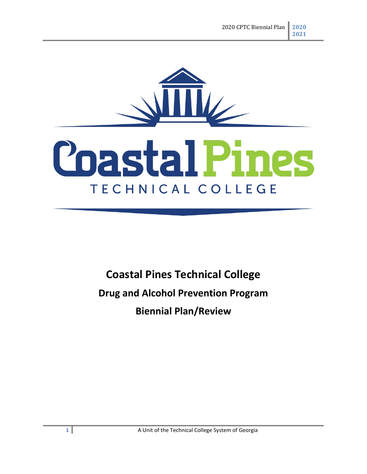

# **Poastal Pines** TECHNICAL COLLEGE

# **Coastal Pines Technical College**

**Drug and Alcohol Prevention Program**

**Biennial Plan/Review**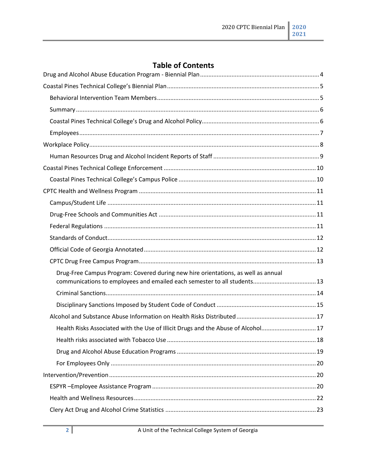# **Table of Contents**

| Drug-Free Campus Program: Covered during new hire orientations, as well as annual<br>communications to employees and emailed each semester to all students 13 |  |
|---------------------------------------------------------------------------------------------------------------------------------------------------------------|--|
|                                                                                                                                                               |  |
|                                                                                                                                                               |  |
|                                                                                                                                                               |  |
| Health Risks Associated with the Use of Illicit Drugs and the Abuse of Alcohol17                                                                              |  |
|                                                                                                                                                               |  |
|                                                                                                                                                               |  |
|                                                                                                                                                               |  |
|                                                                                                                                                               |  |
|                                                                                                                                                               |  |
|                                                                                                                                                               |  |
|                                                                                                                                                               |  |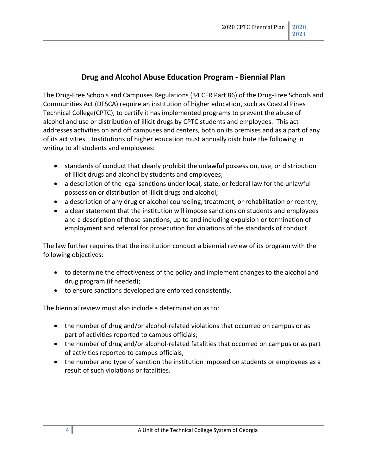#### **Drug and Alcohol Abuse Education Program - Biennial Plan**

<span id="page-3-0"></span>The Drug-Free Schools and Campuses Regulations (34 CFR Part 86) of the Drug-Free Schools and Communities Act (DFSCA) require an institution of higher education, such as Coastal Pines Technical College(CPTC), to certify it has implemented programs to prevent the abuse of alcohol and use or distribution of illicit drugs by CPTC students and employees. This act addresses activities on and off campuses and centers, both on its premises and as a part of any of its activities. Institutions of higher education must annually distribute the following in writing to all students and employees:

- standards of conduct that clearly prohibit the unlawful possession, use, or distribution of illicit drugs and alcohol by students and employees;
- a description of the legal sanctions under local, state, or federal law for the unlawful possession or distribution of illicit drugs and alcohol;
- a description of any drug or alcohol counseling, treatment, or rehabilitation or reentry;
- a clear statement that the institution will impose sanctions on students and employees and a description of those sanctions, up to and including expulsion or termination of employment and referral for prosecution for violations of the standards of conduct.

The law further requires that the institution conduct a biennial review of its program with the following objectives:

- to determine the effectiveness of the policy and implement changes to the alcohol and drug program (if needed);
- to ensure sanctions developed are enforced consistently.

The biennial review must also include a determination as to:

- the number of drug and/or alcohol-related violations that occurred on campus or as part of activities reported to campus officials;
- the number of drug and/or alcohol-related fatalities that occurred on campus or as part of activities reported to campus officials;
- the number and type of sanction the institution imposed on students or employees as a result of such violations or fatalities.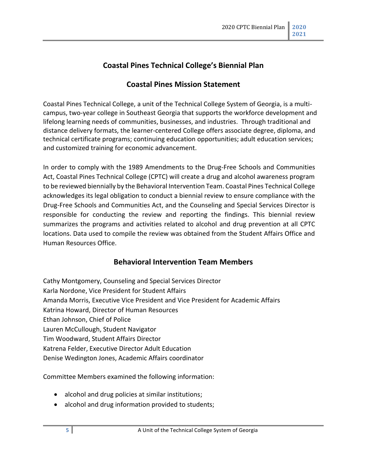# **Coastal Pines Technical College's Biennial Plan**

#### **Coastal Pines Mission Statement**

<span id="page-4-0"></span>Coastal Pines Technical College, a unit of the Technical College System of Georgia, is a multicampus, two-year college in Southeast Georgia that supports the workforce development and lifelong learning needs of communities, businesses, and industries. Through traditional and distance delivery formats, the learner-centered College offers associate degree, diploma, and technical certificate programs; continuing education opportunities; adult education services; and customized training for economic advancement.

In order to comply with the 1989 Amendments to the Drug-Free Schools and Communities Act, Coastal Pines Technical College (CPTC) will create a drug and alcohol awareness program to be reviewed biennially by the Behavioral Intervention Team. Coastal Pines Technical College acknowledges its legal obligation to conduct a biennial review to ensure compliance with the Drug-Free Schools and Communities Act, and the Counseling and Special Services Director is responsible for conducting the review and reporting the findings. This biennial review summarizes the programs and activities related to alcohol and drug prevention at all CPTC locations. Data used to compile the review was obtained from the Student Affairs Office and Human Resources Office.

#### **Behavioral Intervention Team Members**

<span id="page-4-1"></span>Cathy Montgomery, Counseling and Special Services Director Karla Nordone, Vice President for Student Affairs Amanda Morris, Executive Vice President and Vice President for Academic Affairs Katrina Howard, Director of Human Resources Ethan Johnson, Chief of Police Lauren McCullough, Student Navigator Tim Woodward, Student Affairs Director Katrena Felder, Executive Director Adult Education Denise Wedington Jones, Academic Affairs coordinator

Committee Members examined the following information:

- alcohol and drug policies at similar institutions;
- alcohol and drug information provided to students;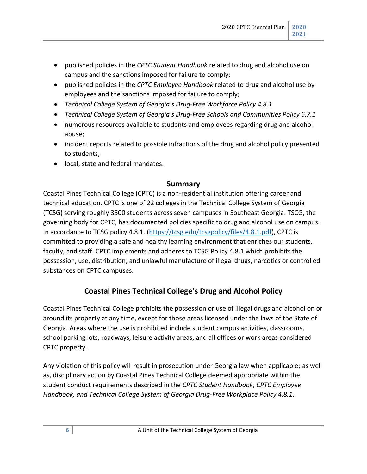- published policies in the *CPTC Student Handbook* related to drug and alcohol use on campus and the sanctions imposed for failure to comply;
- published policies in the *CPTC Employee Handbook* related to drug and alcohol use by employees and the sanctions imposed for failure to comply;
- *Technical College System of Georgia's Drug-Free Workforce Policy 4.8.1*
- *Technical College System of Georgia's Drug-Free Schools and Communities Policy 6.7.1*
- numerous resources available to students and employees regarding drug and alcohol abuse;
- incident reports related to possible infractions of the drug and alcohol policy presented to students;
- local, state and federal mandates.

#### **Summary**

<span id="page-5-0"></span>Coastal Pines Technical College (CPTC) is a non-residential institution offering career and technical education. CPTC is one of 22 colleges in the Technical College System of Georgia (TCSG) serving roughly 3500 students across seven campuses in Southeast Georgia. TSCG, the governing body for CPTC, has documented policies specific to drug and alcohol use on campus. In accordance to TCSG policy 4.8.1. [\(https://tcsg.edu/tcsgpolicy/files/4.8.1.pdf\)](https://tcsg.edu/tcsgpolicy/files/4.8.1.pdf), CPTC is committed to providing a safe and healthy learning environment that enriches our students, faculty, and staff. CPTC implements and adheres to TCSG Policy 4.8.1 which prohibits the possession, use, distribution, and unlawful manufacture of illegal drugs, narcotics or controlled substances on CPTC campuses.

#### **Coastal Pines Technical College's Drug and Alcohol Policy**

<span id="page-5-1"></span>Coastal Pines Technical College prohibits the possession or use of illegal drugs and alcohol on or around its property at any time, except for those areas licensed under the laws of the State of Georgia. Areas where the use is prohibited include student campus activities, classrooms, school parking lots, roadways, leisure activity areas, and all offices or work areas considered CPTC property.

Any violation of this policy will result in prosecution under Georgia law when applicable; as well as, disciplinary action by Coastal Pines Technical College deemed appropriate within the student conduct requirements described in the *CPTC Student Handbook*, *CPTC Employee Handbook, and Technical College System of Georgia Drug-Free Workplace Policy 4.8.1*.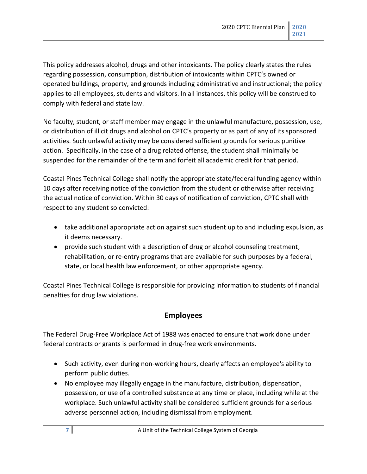This policy addresses alcohol, drugs and other intoxicants. The policy clearly states the rules regarding possession, consumption, distribution of intoxicants within CPTC's owned or operated buildings, property, and grounds including administrative and instructional; the policy applies to all employees, students and visitors. In all instances, this policy will be construed to comply with federal and state law.

No faculty, student, or staff member may engage in the unlawful manufacture, possession, use, or distribution of illicit drugs and alcohol on CPTC's property or as part of any of its sponsored activities. Such unlawful activity may be considered sufficient grounds for serious punitive action. Specifically, in the case of a drug related offense, the student shall minimally be suspended for the remainder of the term and forfeit all academic credit for that period.

Coastal Pines Technical College shall notify the appropriate state/federal funding agency within 10 days after receiving notice of the conviction from the student or otherwise after receiving the actual notice of conviction. Within 30 days of notification of conviction, CPTC shall with respect to any student so convicted:

- take additional appropriate action against such student up to and including expulsion, as it deems necessary.
- provide such student with a description of drug or alcohol counseling treatment, rehabilitation, or re-entry programs that are available for such purposes by a federal, state, or local health law enforcement, or other appropriate agency.

Coastal Pines Technical College is responsible for providing information to students of financial penalties for drug law violations.

#### **Employees**

<span id="page-6-0"></span>The Federal Drug-Free Workplace Act of 1988 was enacted to ensure that work done under federal contracts or grants is performed in drug-free work environments.

- Such activity, even during non-working hours, clearly affects an employee's ability to perform public duties.
- No employee may illegally engage in the manufacture, distribution, dispensation, possession, or use of a controlled substance at any time or place, including while at the workplace. Such unlawful activity shall be considered sufficient grounds for a serious adverse personnel action, including dismissal from employment.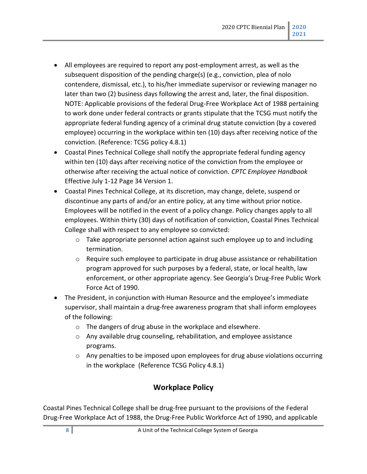- All employees are required to report any post-employment arrest, as well as the subsequent disposition of the pending charge(s) (e.g., conviction, plea of nolo contendere, dismissal, etc.), to his/her immediate supervisor or reviewing manager no later than two (2) business days following the arrest and, later, the final disposition. NOTE: Applicable provisions of the federal Drug-Free Workplace Act of 1988 pertaining to work done under federal contracts or grants stipulate that the TCSG must notify the appropriate federal funding agency of a criminal drug statute conviction (by a covered employee) occurring in the workplace within ten (10) days after receiving notice of the conviction. (Reference: TCSG policy 4.8.1)
- Coastal Pines Technical College shall notify the appropriate federal funding agency within ten (10) days after receiving notice of the conviction from the employee or otherwise after receiving the actual notice of conviction. *CPTC Employee Handbook* Effective July 1-12 Page 34 Version 1.
- Coastal Pines Technical College, at its discretion, may change, delete, suspend or discontinue any parts of and/or an entire policy, at any time without prior notice. Employees will be notified in the event of a policy change. Policy changes apply to all employees. Within thirty (30) days of notification of conviction, Coastal Pines Technical College shall with respect to any employee so convicted:
	- $\circ$  Take appropriate personnel action against such employee up to and including termination.
	- $\circ$  Require such employee to participate in drug abuse assistance or rehabilitation program approved for such purposes by a federal, state, or local health, law enforcement, or other appropriate agency. See Georgia's Drug-Free Public Work Force Act of 1990.
- The President, in conjunction with Human Resource and the employee's immediate supervisor, shall maintain a drug-free awareness program that shall inform employees of the following:
	- o The dangers of drug abuse in the workplace and elsewhere.
	- o Any available drug counseling, rehabilitation, and employee assistance programs.
	- $\circ$  Any penalties to be imposed upon employees for drug abuse violations occurring in the workplace (Reference TCSG Policy 4.8.1)

# **Workplace Policy**

<span id="page-7-0"></span>Coastal Pines Technical College shall be drug-free pursuant to the provisions of the Federal Drug-Free Workplace Act of 1988, the Drug-Free Public Workforce Act of 1990, and applicable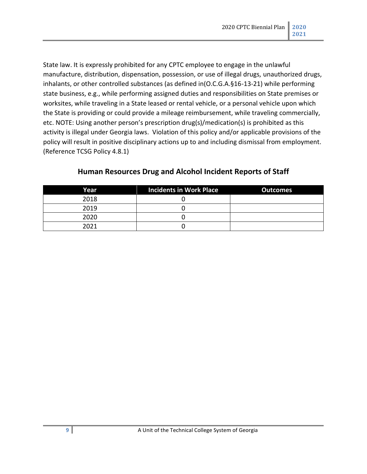State law. It is expressly prohibited for any CPTC employee to engage in the unlawful manufacture, distribution, dispensation, possession, or use of illegal drugs, unauthorized drugs, inhalants, or other controlled substances (as defined in(O.C.G.A.§16-13-21) while performing state business, e.g., while performing assigned duties and responsibilities on State premises or worksites, while traveling in a State leased or rental vehicle, or a personal vehicle upon which the State is providing or could provide a mileage reimbursement, while traveling commercially, etc. NOTE: Using another person's prescription drug(s)/medication(s) is prohibited as this activity is illegal under Georgia laws. Violation of this policy and/or applicable provisions of the policy will result in positive disciplinary actions up to and including dismissal from employment. (Reference TCSG Policy 4.8.1)

<span id="page-8-0"></span>

| Year | <b>Incidents in Work Place</b> | <b>Outcomes</b> |
|------|--------------------------------|-----------------|
| 2018 |                                |                 |
| 2019 |                                |                 |
| 2020 |                                |                 |
| 2021 |                                |                 |

#### **Human Resources Drug and Alcohol Incident Reports of Staff**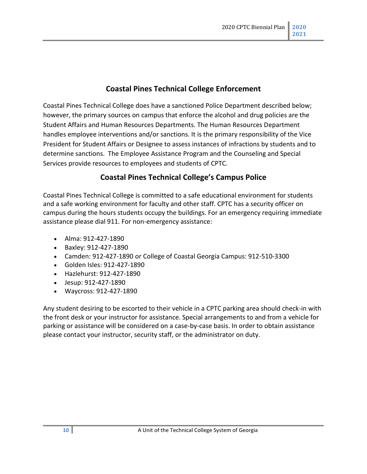#### **Coastal Pines Technical College Enforcement**

<span id="page-9-0"></span>Coastal Pines Technical College does have a sanctioned Police Department described below; however, the primary sources on campus that enforce the alcohol and drug policies are the Student Affairs and Human Resources Departments. The Human Resources Department handles employee interventions and/or sanctions. It is the primary responsibility of the Vice President for Student Affairs or Designee to assess instances of infractions by students and to determine sanctions. The Employee Assistance Program and the Counseling and Special Services provide resources to employees and students of CPTC.

#### **Coastal Pines Technical College's Campus Police**

<span id="page-9-1"></span>Coastal Pines Technical College is committed to a safe educational environment for students and a safe working environment for faculty and other staff. CPTC has a security officer on campus during the hours students occupy the buildings. For an emergency requiring immediate assistance please dial 911. For non-emergency assistance:

- Alma: 912-427-1890
- Baxley: 912-427-1890
- Camden: 912-427-1890 or College of Coastal Georgia Campus: 912-510-3300
- Golden Isles: 912-427-1890
- Hazlehurst: 912-427-1890
- Jesup: 912-427-1890
- Waycross: 912-427-1890

Any student desiring to be escorted to their vehicle in a CPTC parking area should check-in with the front desk or your instructor for assistance. Special arrangements to and from a vehicle for parking or assistance will be considered on a case-by-case basis. In order to obtain assistance please contact your instructor, security staff, or the administrator on duty.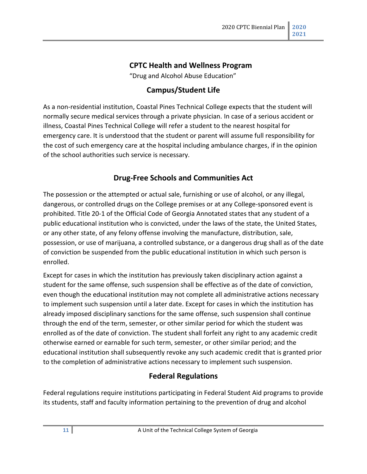# **CPTC Health and Wellness Program**

"Drug and Alcohol Abuse Education"

#### **Campus/Student Life**

<span id="page-10-1"></span><span id="page-10-0"></span>As a non-residential institution, Coastal Pines Technical College expects that the student will normally secure medical services through a private physician. In case of a serious accident or illness, Coastal Pines Technical College will refer a student to the nearest hospital for emergency care. It is understood that the student or parent will assume full responsibility for the cost of such emergency care at the hospital including ambulance charges, if in the opinion of the school authorities such service is necessary.

#### **Drug-Free Schools and Communities Act**

<span id="page-10-2"></span>The possession or the attempted or actual sale, furnishing or use of alcohol, or any illegal, dangerous, or controlled drugs on the College premises or at any College-sponsored event is prohibited. Title 20-1 of the Official Code of Georgia Annotated states that any student of a public educational institution who is convicted, under the laws of the state, the United States, or any other state, of any felony offense involving the manufacture, distribution, sale, possession, or use of marijuana, a controlled substance, or a dangerous drug shall as of the date of conviction be suspended from the public educational institution in which such person is enrolled.

Except for cases in which the institution has previously taken disciplinary action against a student for the same offense, such suspension shall be effective as of the date of conviction, even though the educational institution may not complete all administrative actions necessary to implement such suspension until a later date. Except for cases in which the institution has already imposed disciplinary sanctions for the same offense, such suspension shall continue through the end of the term, semester, or other similar period for which the student was enrolled as of the date of conviction. The student shall forfeit any right to any academic credit otherwise earned or earnable for such term, semester, or other similar period; and the educational institution shall subsequently revoke any such academic credit that is granted prior to the completion of administrative actions necessary to implement such suspension.

#### **Federal Regulations**

<span id="page-10-3"></span>Federal regulations require institutions participating in Federal Student Aid programs to provide its students, staff and faculty information pertaining to the prevention of drug and alcohol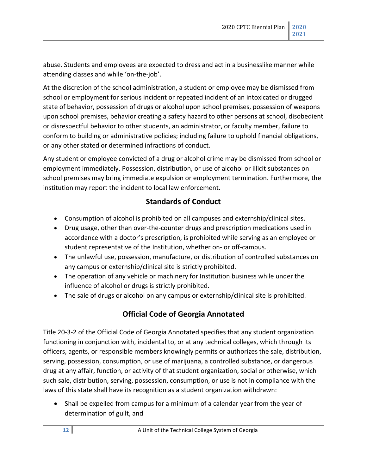abuse. Students and employees are expected to dress and act in a businesslike manner while attending classes and while 'on-the-job'.

At the discretion of the school administration, a student or employee may be dismissed from school or employment for serious incident or repeated incident of an intoxicated or drugged state of behavior, possession of drugs or alcohol upon school premises, possession of weapons upon school premises, behavior creating a safety hazard to other persons at school, disobedient or disrespectful behavior to other students, an administrator, or faculty member, failure to conform to building or administrative policies; including failure to uphold financial obligations, or any other stated or determined infractions of conduct.

Any student or employee convicted of a drug or alcohol crime may be dismissed from school or employment immediately. Possession, distribution, or use of alcohol or illicit substances on school premises may bring immediate expulsion or employment termination. Furthermore, the institution may report the incident to local law enforcement.

#### **Standards of Conduct**

- <span id="page-11-0"></span>• Consumption of alcohol is prohibited on all campuses and externship/clinical sites.
- Drug usage, other than over-the-counter drugs and prescription medications used in accordance with a doctor's prescription, is prohibited while serving as an employee or student representative of the Institution, whether on‐ or off‐campus.
- The unlawful use, possession, manufacture, or distribution of controlled substances on any campus or externship/clinical site is strictly prohibited.
- The operation of any vehicle or machinery for Institution business while under the influence of alcohol or drugs is strictly prohibited.
- The sale of drugs or alcohol on any campus or externship/clinical site is prohibited.

# **Official Code of Georgia Annotated**

<span id="page-11-1"></span>Title 20-3-2 of the Official Code of Georgia Annotated specifies that any student organization functioning in conjunction with, incidental to, or at any technical colleges, which through its officers, agents, or responsible members knowingly permits or authorizes the sale, distribution, serving, possession, consumption, or use of marijuana, a controlled substance, or dangerous drug at any affair, function, or activity of that student organization, social or otherwise, which such sale, distribution, serving, possession, consumption, or use is not in compliance with the laws of this state shall have its recognition as a student organization withdrawn:

• Shall be expelled from campus for a minimum of a calendar year from the year of determination of guilt, and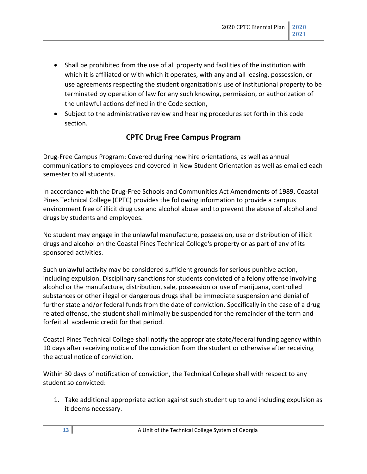- Shall be prohibited from the use of all property and facilities of the institution with which it is affiliated or with which it operates, with any and all leasing, possession, or use agreements respecting the student organization's use of institutional property to be terminated by operation of law for any such knowing, permission, or authorization of the unlawful actions defined in the Code section,
- Subject to the administrative review and hearing procedures set forth in this code section.

#### **CPTC Drug Free Campus Program**

<span id="page-12-1"></span><span id="page-12-0"></span>Drug-Free Campus Program: Covered during new hire orientations, as well as annual communications to employees and covered in New Student Orientation as well as emailed each semester to all students.

In accordance with the Drug-Free Schools and Communities Act Amendments of 1989, Coastal Pines Technical College (CPTC) provides the following information to provide a campus environment free of illicit drug use and alcohol abuse and to prevent the abuse of alcohol and drugs by students and employees.

No student may engage in the unlawful manufacture, possession, use or distribution of illicit drugs and alcohol on the Coastal Pines Technical College's property or as part of any of its sponsored activities.

Such unlawful activity may be considered sufficient grounds for serious punitive action, including expulsion. Disciplinary sanctions for students convicted of a felony offense involving alcohol or the manufacture, distribution, sale, possession or use of marijuana, controlled substances or other illegal or dangerous drugs shall be immediate suspension and denial of further state and/or federal funds from the date of conviction. Specifically in the case of a drug related offense, the student shall minimally be suspended for the remainder of the term and forfeit all academic credit for that period.

Coastal Pines Technical College shall notify the appropriate state/federal funding agency within 10 days after receiving notice of the conviction from the student or otherwise after receiving the actual notice of conviction.

Within 30 days of notification of conviction, the Technical College shall with respect to any student so convicted:

1. Take additional appropriate action against such student up to and including expulsion as it deems necessary.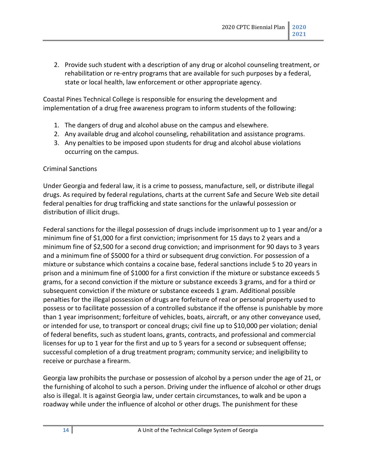2. Provide such student with a description of any drug or alcohol counseling treatment, or rehabilitation or re-entry programs that are available for such purposes by a federal, state or local health, law enforcement or other appropriate agency.

Coastal Pines Technical College is responsible for ensuring the development and implementation of a drug free awareness program to inform students of the following:

- 1. The dangers of drug and alcohol abuse on the campus and elsewhere.
- 2. Any available drug and alcohol counseling, rehabilitation and assistance programs.
- 3. Any penalties to be imposed upon students for drug and alcohol abuse violations occurring on the campus.

#### <span id="page-13-0"></span>Criminal Sanctions

Under Georgia and federal law, it is a crime to possess, manufacture, sell, or distribute illegal drugs. As required by federal regulations, charts at the current Safe and Secure Web site detail federal penalties for drug trafficking and state sanctions for the unlawful possession or distribution of illicit drugs.

Federal sanctions for the illegal possession of drugs include imprisonment up to 1 year and/or a minimum fine of \$1,000 for a first conviction; imprisonment for 15 days to 2 years and a minimum fine of \$2,500 for a second drug conviction; and imprisonment for 90 days to 3 years and a minimum fine of \$5000 for a third or subsequent drug conviction. For possession of a mixture or substance which contains a cocaine base, federal sanctions include 5 to 20 years in prison and a minimum fine of \$1000 for a first conviction if the mixture or substance exceeds 5 grams, for a second conviction if the mixture or substance exceeds 3 grams, and for a third or subsequent conviction if the mixture or substance exceeds 1 gram. Additional possible penalties for the illegal possession of drugs are forfeiture of real or personal property used to possess or to facilitate possession of a controlled substance if the offense is punishable by more than 1 year imprisonment; forfeiture of vehicles, boats, aircraft, or any other conveyance used, or intended for use, to transport or conceal drugs; civil fine up to \$10,000 per violation; denial of federal benefits, such as student loans, grants, contracts, and professional and commercial licenses for up to 1 year for the first and up to 5 years for a second or subsequent offense; successful completion of a drug treatment program; community service; and ineligibility to receive or purchase a firearm.

Georgia law prohibits the purchase or possession of alcohol by a person under the age of 21, or the furnishing of alcohol to such a person. Driving under the influence of alcohol or other drugs also is illegal. It is against Georgia law, under certain circumstances, to walk and be upon a roadway while under the influence of alcohol or other drugs. The punishment for these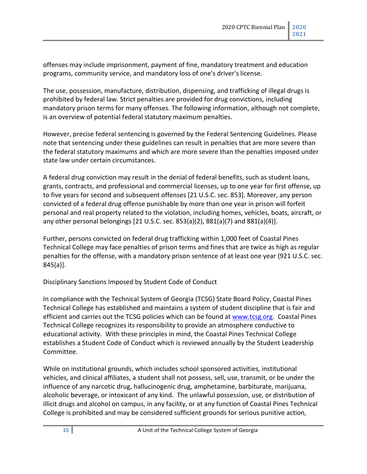offenses may include imprisonment, payment of fine, mandatory treatment and education programs, community service, and mandatory loss of one's driver's license.

The use, possession, manufacture, distribution, dispensing, and trafficking of illegal drugs is prohibited by federal law. Strict penalties are provided for drug convictions, including mandatory prison terms for many offenses. The following information, although not complete, is an overview of potential federal statutory maximum penalties.

However, precise federal sentencing is governed by the Federal Sentencing Guidelines. Please note that sentencing under these guidelines can result in penalties that are more severe than the federal statutory maximums and which are more severe than the penalties imposed under state law under certain circumstances.

A federal drug conviction may result in the denial of federal benefits, such as student loans, grants, contracts, and professional and commercial licenses, up to one year for first offense, up to five years for second and subsequent offenses [21 U.S.C. sec. 853]. Moreover, any person convicted of a federal drug offense punishable by more than one year in prison will forfeit personal and real property related to the violation, including homes, vehicles, boats, aircraft, or any other personal belongings  $[21 \, \text{U.S.C. sec. } 853(a)(2), 881(a)(7)$  and  $881(a)(4)$ ].

Further, persons convicted on federal drug trafficking within 1,000 feet of Coastal Pines Technical College may face penalties of prison terms and fines that are twice as high as regular penalties for the offense, with a mandatory prison sentence of at least one year {921 U.S.C. sec. 845(a)].

<span id="page-14-0"></span>Disciplinary Sanctions Imposed by Student Code of Conduct

In compliance with the Technical System of Georgia (TCSG) State Board Policy, Coastal Pines Technical College has established and maintains a system of student discipline that is fair and efficient and carries out the TCSG policies which can be found at [www.tcsg.org.](http://www.tcsg.org/) Coastal Pines Technical College recognizes its responsibility to provide an atmosphere conductive to educational activity. With these principles in mind, the Coastal Pines Technical College establishes a Student Code of Conduct which is reviewed annually by the Student Leadership Committee.

While on institutional grounds, which includes school sponsored activities, institutional vehicles, and clinical affiliates, a student shall not possess, sell, use, transmit, or be under the influence of any narcotic drug, hallucinogenic drug, amphetamine, barbiturate, marijuana, alcoholic beverage, or intoxicant of any kind. The unlawful possession, use, or distribution of illicit drugs and alcohol on campus, in any facility, or at any function of Coastal Pines Technical College is prohibited and may be considered sufficient grounds for serious punitive action,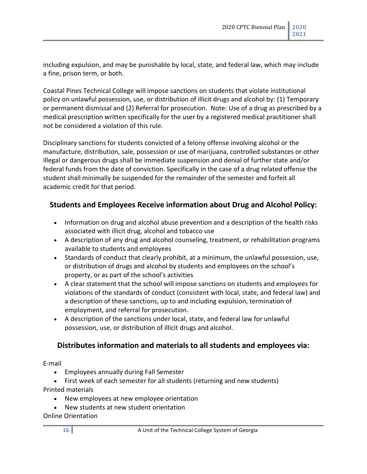including expulsion, and may be punishable by local, state, and federal law, which may include a fine, prison term, or both.

Coastal Pines Technical College will impose sanctions on students that violate institutional policy on unlawful possession, use, or distribution of illicit drugs and alcohol by: (1) Temporary or permanent dismissal and (2) Referral for prosecution. Note: Use of a drug as prescribed by a medical prescription written specifically for the user by a registered medical practitioner shall not be considered a violation of this rule.

Disciplinary sanctions for students convicted of a felony offense involving alcohol or the manufacture, distribution, sale, possession or use of marijuana, controlled substances or other illegal or dangerous drugs shall be immediate suspension and denial of further state and/or federal funds from the date of conviction. Specifically in the case of a drug related offense the student shall minimally be suspended for the remainder of the semester and forfeit all academic credit for that period.

#### **Students and Employees Receive information about Drug and Alcohol Policy:**

- Information on drug and alcohol abuse prevention and a description of the health risks associated with illicit drug, alcohol and tobacco use
- A description of any drug and alcohol counseling, treatment, or rehabilitation programs available to students and employees
- Standards of conduct that clearly prohibit, at a minimum, the unlawful possession, use, or distribution of drugs and alcohol by students and employees on the school's property, or as part of the school's activities
- A clear statement that the school will impose sanctions on students and employees for violations of the standards of conduct (consistent with local, state, and federal law) and a description of these sanctions, up to and including expulsion, termination of employment, and referral for prosecution.
- A description of the sanctions under local, state, and federal law for unlawful possession, use, or distribution of illicit drugs and alcohol.

#### **Distributes information and materials to all students and employees via:**

E-mail

- Employees annually during Fall Semester
- First week of each semester for all students (returning and new students) Printed materials
	- New employees at new employee orientation
	- New students at new student orientation

Online Orientation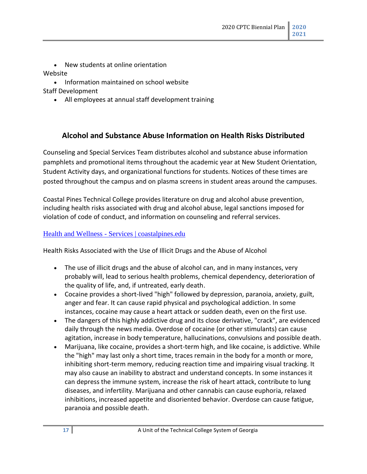• New students at online orientation

#### Website

• Information maintained on school website

Staff Development

• All employees at annual staff development training

#### **Alcohol and Substance Abuse Information on Health Risks Distributed**

<span id="page-16-0"></span>Counseling and Special Services Team distributes alcohol and substance abuse information pamphlets and promotional items throughout the academic year at New Student Orientation, Student Activity days, and organizational functions for students. Notices of these times are posted throughout the campus and on plasma screens in student areas around the campuses.

Coastal Pines Technical College provides literature on drug and alcohol abuse prevention, including health risks associated with drug and alcohol abuse, legal sanctions imposed for violation of code of conduct, and information on counseling and referral services.

#### Health and Wellness - [Services | coastalpines.edu](http://www.coastalpines.edu/mycptc/health-and-wellness/)

<span id="page-16-1"></span>Health Risks Associated with the Use of Illicit Drugs and the Abuse of Alcohol

- The use of illicit drugs and the abuse of alcohol can, and in many instances, very probably will, lead to serious health problems, chemical dependency, deterioration of the quality of life, and, if untreated, early death.
- Cocaine provides a short-lived "high" followed by depression, paranoia, anxiety, guilt, anger and fear. It can cause rapid physical and psychological addiction. In some instances, cocaine may cause a heart attack or sudden death, even on the first use.
- The dangers of this highly addictive drug and its close derivative, "crack", are evidenced daily through the news media. Overdose of cocaine (or other stimulants) can cause agitation, increase in body temperature, hallucinations, convulsions and possible death.
- Marijuana, like cocaine, provides a short-term high, and like cocaine, is addictive. While the "high" may last only a short time, traces remain in the body for a month or more, inhibiting short-term memory, reducing reaction time and impairing visual tracking. It may also cause an inability to abstract and understand concepts. In some instances it can depress the immune system, increase the risk of heart attack, contribute to lung diseases, and infertility. Marijuana and other cannabis can cause euphoria, relaxed inhibitions, increased appetite and disoriented behavior. Overdose can cause fatigue, paranoia and possible death.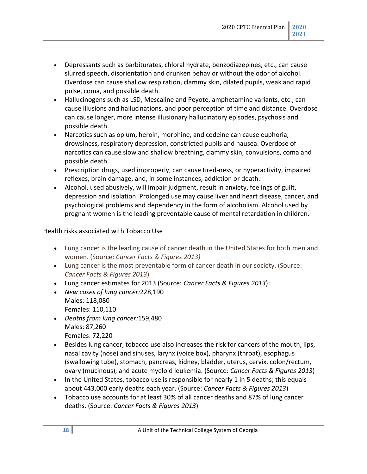- Depressants such as barbiturates, chloral hydrate, benzodiazepines, etc., can cause slurred speech, disorientation and drunken behavior without the odor of alcohol. Overdose can cause shallow respiration, clammy skin, dilated pupils, weak and rapid pulse, coma, and possible death.
- Hallucinogens such as LSD, Mescaline and Peyote, amphetamine variants, etc., can cause illusions and hallucinations, and poor perception of time and distance. Overdose can cause longer, more intense illusionary hallucinatory episodes, psychosis and possible death.
- Narcotics such as opium, heroin, morphine, and codeine can cause euphoria, drowsiness, respiratory depression, constricted pupils and nausea. Overdose of narcotics can cause slow and shallow breathing, clammy skin, convulsions, coma and possible death.
- Prescription drugs, used improperly, can cause tired-ness, or hyperactivity, impaired reflexes, brain damage, and, in some instances, addiction or death.
- Alcohol, used abusively, will impair judgment, result in anxiety, feelings of guilt, depression and isolation. Prolonged use may cause liver and heart disease, cancer, and psychological problems and dependency in the form of alcoholism. Alcohol used by pregnant women is the leading preventable cause of mental retardation in children.

#### <span id="page-17-0"></span>Health risks associated with Tobacco Use

- Lung cancer is the leading cause of cancer death in the United States for both men and women. (Source: *Cancer Facts & Figures 2013)*
- Lung cancer is the most preventable form of cancer death in our society. (Source: *Cancer Facts & Figures 2013*)
- Lung cancer estimates for 2013 (Source: *Cancer Facts & Figures 2013*):
- *New cases of lung cancer:*228,190 Males: 118,080 Females: 110,110
- *Deaths from lung cancer:*159,480 Males: 87,260 Females: 72,220
- Besides lung cancer, tobacco use also increases the risk for cancers of the mouth, lips, nasal cavity (nose) and sinuses, larynx (voice box), pharynx (throat), esophagus (swallowing tube), stomach, pancreas, kidney, bladder, uterus, cervix, colon/rectum, ovary (mucinous), and acute myeloid leukemia. (Source: *Cancer Facts & Figures 2013*)
- In the United States, tobacco use is responsible for nearly 1 in 5 deaths; this equals about 443,000 early deaths each year. (Source: *Cancer Facts & Figures 2013*)
- Tobacco use accounts for at least 30% of all cancer deaths and 87% of lung cancer deaths. (Source: *Cancer Facts & Figures 2013*)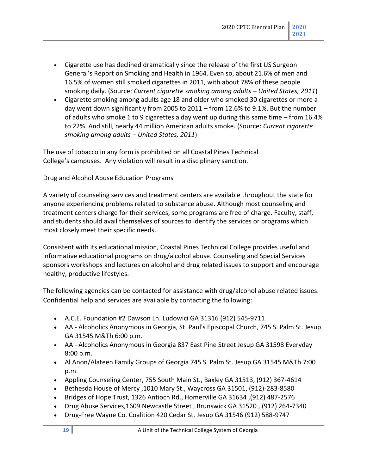- Cigarette use has declined dramatically since the release of the first US Surgeon General's Report on Smoking and Health in 1964. Even so, about 21.6% of men and 16.5% of women still smoked cigarettes in 2011, with about 78% of these people smoking daily. (Source: *Current cigarette smoking among adults – United States, 2011*)
- Cigarette smoking among adults age 18 and older who smoked 30 cigarettes or more a day went down significantly from 2005 to 2011 – from 12.6% to 9.1%. But the number of adults who smoke 1 to 9 cigarettes a day went up during this same time – from 16.4% to 22%. And still, nearly 44 million American adults smoke. (Source: *Current cigarette smoking among adults – United States, 2011*)

The use of tobacco in any form is prohibited on all Coastal Pines Technical College's campuses. Any violation will result in a disciplinary sanction.

<span id="page-18-0"></span>Drug and Alcohol Abuse Education Programs

A variety of counseling services and treatment centers are available throughout the state for anyone experiencing problems related to substance abuse. Although most counseling and treatment centers charge for their services, some programs are free of charge. Faculty, staff, and students should avail themselves of sources to identify the services or programs which most closely meet their specific needs.

Consistent with its educational mission, Coastal Pines Technical College provides useful and informative educational programs on drug/alcohol abuse. Counseling and Special Services sponsors workshops and lectures on alcohol and drug related issues to support and encourage healthy, productive lifestyles.

The following agencies can be contacted for assistance with drug/alcohol abuse related issues. Confidential help and services are available by contacting the following:

- A.C.E. Foundation #2 Dawson Ln. Ludowici GA 31316 (912) 545-9711
- AA Alcoholics Anonymous in Georgia, St. Paul's Episcopal Church, 745 S. Palm St. Jesup GA 31545 M&Th 6:00 p.m.
- AA Alcoholics Anonymous in Georgia 837 East Pine Street Jesup GA 31598 Everyday 8:00 p.m.
- Al Anon/Alateen Family Groups of Georgia 745 S. Palm St. Jesup GA 31545 M&Th 7:00 p.m.
- Appling Counseling Center, 755 South Main St., Baxley GA 31513, (912) 367-4614
- Bethesda House of Mercy ,1010 Mary St., Waycross GA 31501, (912)-283-8580
- Bridges of Hope Trust, 1326 Antioch Rd., Homerville GA 31634 ,(912) 487-2576
- Drug Abuse Services,1609 Newcastle Street , Brunswick GA 31520 , (912) 264-7340
- Drug-Free Wayne Co. Coalition 420 Cedar St. Jesup GA 31546 (912) 588-9747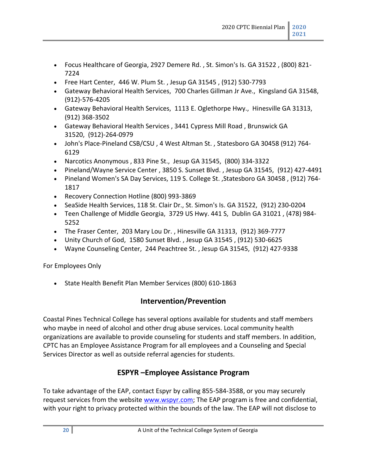- Focus Healthcare of Georgia, 2927 Demere Rd. , St. Simon's Is. GA 31522 , (800) 821- 7224
- Free Hart Center, 446 W. Plum St. , Jesup GA 31545 , (912) 530-7793
- Gateway Behavioral Health Services, 700 Charles Gillman Jr Ave., Kingsland GA 31548, (912)-576-4205
- Gateway Behavioral Health Services, 1113 E. Oglethorpe Hwy., Hinesville GA 31313, (912) 368-3502
- Gateway Behavioral Health Services , 3441 Cypress Mill Road , Brunswick GA 31520, (912)-264-0979
- John's Place-Pineland CSB/CSU , 4 West Altman St. , Statesboro GA 30458 (912) 764- 6129
- Narcotics Anonymous , 833 Pine St., Jesup GA 31545, (800) 334-3322
- Pineland/Wayne Service Center , 3850 S. Sunset Blvd. , Jesup GA 31545, (912) 427-4491
- Pineland Women's SA Day Services, 119 S. College St. ,Statesboro GA 30458 , (912) 764- 1817
- Recovery Connection Hotline (800) 993-3869
- SeaSide Health Services, 118 St. Clair Dr., St. Simon's Is. GA 31522, (912) 230-0204
- Teen Challenge of Middle Georgia, 3729 US Hwy. 441 S, Dublin GA 31021 , (478) 984- 5252
- The Fraser Center, 203 Mary Lou Dr. , Hinesville GA 31313, (912) 369-7777
- Unity Church of God, 1580 Sunset Blvd. , Jesup GA 31545 , (912) 530-6625
- Wayne Counseling Center, 244 Peachtree St. , Jesup GA 31545, (912) 427-9338

<span id="page-19-0"></span>For Employees Only

• State Health Benefit Plan Member Services (800) 610-1863

#### **Intervention/Prevention**

<span id="page-19-1"></span>Coastal Pines Technical College has several options available for students and staff members who maybe in need of alcohol and other drug abuse services. Local community health organizations are available to provide counseling for students and staff members. In addition, CPTC has an Employee Assistance Program for all employees and a Counseling and Special Services Director as well as outside referral agencies for students.

#### **ESPYR –Employee Assistance Program**

<span id="page-19-2"></span>To take advantage of the EAP, contact Espyr by calling 855-584-3588, or you may securely request services from the website [www.wspyr.com;](http://www.wspyr.com/) The EAP program is free and confidential, with your right to privacy protected within the bounds of the law. The EAP will not disclose to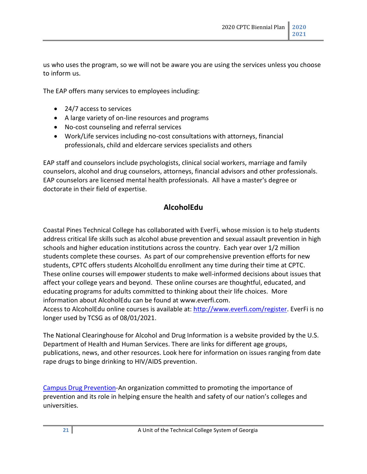us who uses the program, so we will not be aware you are using the services unless you choose to inform us.

The EAP offers many services to employees including:

- 24/7 access to services
- A large variety of on-line resources and programs
- No-cost counseling and referral services
- Work/Life services including no-cost consultations with attorneys, financial professionals, child and eldercare services specialists and others

EAP staff and counselors include psychologists, clinical social workers, marriage and family counselors, alcohol and drug counselors, attorneys, financial advisors and other professionals. EAP counselors are licensed mental health professionals. All have a master's degree or doctorate in their field of expertise.

#### **AlcoholEdu**

Coastal Pines Technical College has collaborated with EverFi, whose mission is to help students address critical life skills such as alcohol abuse prevention and sexual assault prevention in high schools and higher education institutions across the country. Each year over 1/2 million students complete these courses. As part of our comprehensive prevention efforts for new students, CPTC offers students AlcoholEdu enrollment any time during their time at CPTC. These online courses will empower students to make well-informed decisions about issues that affect your college years and beyond. These online courses are thoughtful, educated, and educating programs for adults committed to thinking about their life choices. More information about AlcoholEdu can be found at www.everfi.com.

Access to AlcoholEdu online courses is available at[: http://www.everfi.com/register.](http://www.everfi.com/register) EverFi is no longer used by TCSG as of 08/01/2021.

The National Clearinghouse for Alcohol and Drug Information is a website provided by the U.S. Department of Health and Human Services. There are links for different age groups, publications, news, and other resources. Look here for information on issues ranging from date rape drugs to binge drinking to HIV/AIDS prevention.

[Campus Drug Prevention-](https://www.campusdrugprevention.gov/)An organization committed to promoting the importance of prevention and its role in helping ensure the health and safety of our nation's colleges and universities.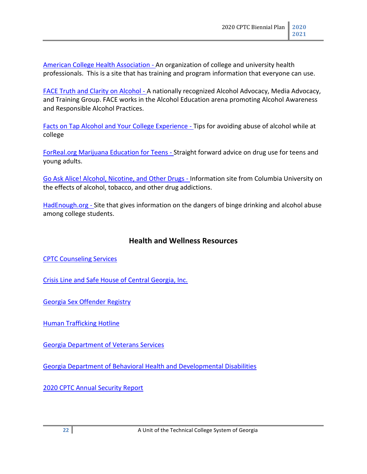[American College Health Association](http://www.acha.org/) - An organization of college and university health professionals. This is a site that has training and program information that everyone can use.

[FACE Truth and Clarity on Alcohol](http://web.archive.org/web/20031208183708/http:/www.faceproject.org/) - A nationally recognized Alcohol Advocacy, Media Advocacy, and Training Group. FACE works in the Alcohol Education arena promoting Alcohol Awareness and Responsible Alcohol Practices.

[Facts on Tap Alcohol and Your College Experience](http://web.archive.org/web/20031208183708/http:/www.factsontap.org/) - Tips for avoiding abuse of alcohol while at college

[ForReal.org Marijuana Education for Teens](http://web.archive.org/web/20031010200406/http:/www.freevibe.com/) - Straight forward advice on drug use for teens and young adults.

[Go Ask Alice! Alcohol, Nicotine, and Other Drugs](http://web.archive.org/web/20031208183708/http:/www.goaskalice.columbia.edu/Cat2.html) - Information site from Columbia University on the effects of alcohol, tobacco, and other drug addictions.

[HadEnough.org](http://web.archive.org/web/20031208183708/http:/www.cspinet.org/booze/hadenough/home/) - Site that gives information on the dangers of binge drinking and alcohol abuse among college students.

#### **Health and Wellness Resources**

<span id="page-21-0"></span>[CPTC Counseling Services](http://www.coastalpines.edu/services/counseling-special-services/)

[Crisis Line and Safe House of Central Georgia, Inc.](https://cl-sh.org/)

[Georgia Sex Offender Registry](http://gbi.georgia.gov/georgia-sex-offender-registry)

[Human Trafficking Hotline](http://www.coastalpines.edu/assets/1/7/Human_Trafficking_Flyer_Compressed.pdf)

[Georgia Department of Veterans Services](https://veterans.georgia.gov/)

[Georgia Department of Behavioral Health and Developmental Disabilities](https://dbhdd.georgia.gov/behavioral-health-services)

2020 [CPTC Annual Security Report](http://www.coastalpines.edu/assets/1/7/2020_Annual_Security_Report_-_Revised.pdf)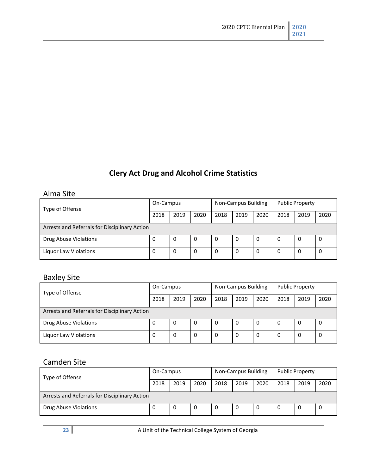# **Clery Act Drug and Alcohol Crime Statistics**

#### <span id="page-22-1"></span><span id="page-22-0"></span>Alma Site

| Type of Offense                               | On-Campus |      |      | Non-Campus Building |      |      | <b>Public Property</b> |      |      |  |
|-----------------------------------------------|-----------|------|------|---------------------|------|------|------------------------|------|------|--|
|                                               | 2018      | 2019 | 2020 | 2018                | 2019 | 2020 | 2018                   | 2019 | 2020 |  |
| Arrests and Referrals for Disciplinary Action |           |      |      |                     |      |      |                        |      |      |  |
| Drug Abuse Violations                         | 0         | 0    | 0    | 0                   | 0    | 0    | -0                     | 0    | 0    |  |
| Liguor Law Violations                         | 0         | 0    | 0    | 0                   | 0    | 0    | 0                      | 0    | 0    |  |

# <span id="page-22-2"></span>Baxley Site

| Type of Offense                               | On-Campus |      |      | Non-Campus Building |      |      | <b>Public Property</b> |      |      |  |
|-----------------------------------------------|-----------|------|------|---------------------|------|------|------------------------|------|------|--|
|                                               | 2018      | 2019 | 2020 | 2018                | 2019 | 2020 | 2018                   | 2019 | 2020 |  |
| Arrests and Referrals for Disciplinary Action |           |      |      |                     |      |      |                        |      |      |  |
| Drug Abuse Violations                         | 0         | 0    | 0    | - 0                 | 0    | 0    | 0                      | 0    | 0    |  |
| <b>Liquor Law Violations</b>                  | 0         |      | 0    |                     | 0    | 0    | 0                      |      |      |  |

### <span id="page-22-3"></span>Camden Site

| Type of Offense                               | On-Campus |      |      | Non-Campus Building |      |      | <b>Public Property</b> |      |      |  |
|-----------------------------------------------|-----------|------|------|---------------------|------|------|------------------------|------|------|--|
|                                               | 2018      | 2019 | 2020 | 2018                | 2019 | 2020 | 2018                   | 2019 | 2020 |  |
| Arrests and Referrals for Disciplinary Action |           |      |      |                     |      |      |                        |      |      |  |
| Drug Abuse Violations                         | 0         |      | -0   | 0                   | 0    | -0   | -0                     |      |      |  |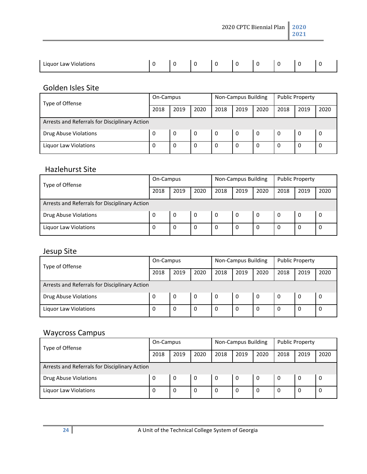2020 CPTC Biennial Plan **2020**

**2021**

| .<br>Liguor Law Violations |  |  |  |  |  |
|----------------------------|--|--|--|--|--|
|                            |  |  |  |  |  |

# <span id="page-23-0"></span>Golden Isles Site

| Type of Offense                               | On-Campus |      |              | Non-Campus Building |      |      | <b>Public Property</b> |      |      |  |
|-----------------------------------------------|-----------|------|--------------|---------------------|------|------|------------------------|------|------|--|
|                                               | 2018      | 2019 | 2020         | 2018                | 2019 | 2020 | 2018                   | 2019 | 2020 |  |
| Arrests and Referrals for Disciplinary Action |           |      |              |                     |      |      |                        |      |      |  |
| Drug Abuse Violations                         | 0         | 0    | $\mathbf{0}$ | 0                   | 0    | 0    | l 0                    | 0    | 0    |  |
| Liquor Law Violations                         | 0         |      | $\Omega$     | 0                   | 0    | 0    | 0                      | 0    | 0    |  |

#### <span id="page-23-1"></span>Hazlehurst Site

| Type of Offense                               | On-Campus |      |              | Non-Campus Building |      |      | <b>Public Property</b> |          |      |  |
|-----------------------------------------------|-----------|------|--------------|---------------------|------|------|------------------------|----------|------|--|
|                                               | 2018      | 2019 | 2020         | 2018                | 2019 | 2020 | 2018                   | 2019     | 2020 |  |
| Arrests and Referrals for Disciplinary Action |           |      |              |                     |      |      |                        |          |      |  |
| <b>Drug Abuse Violations</b>                  | 0         | 0    | $\mathbf{0}$ | 0                   | 0    | 0    | - 0                    | 0        | 0    |  |
| Liquor Law Violations                         | 0         |      | $\Omega$     | 0                   | 0    | 0    | 0                      | $\Omega$ | 0    |  |

# <span id="page-23-2"></span>Jesup Site

| Type of Offense                               | On-Campus |      |      | Non-Campus Building |      |      | <b>Public Property</b> |      |      |  |
|-----------------------------------------------|-----------|------|------|---------------------|------|------|------------------------|------|------|--|
|                                               | 2018      | 2019 | 2020 | 2018                | 2019 | 2020 | 2018                   | 2019 | 2020 |  |
| Arrests and Referrals for Disciplinary Action |           |      |      |                     |      |      |                        |      |      |  |
| Drug Abuse Violations                         | 0         | 0    | 0    | 0                   | 0    | -0   | 0                      | 0    | 0    |  |
| Liquor Law Violations                         | 0         | 0    | 0    | 0                   | 0    | 0    | $\mathbf 0$            | 0    | 0    |  |

# <span id="page-23-3"></span>Waycross Campus

| Type of Offense                               | On-Campus |      |          | Non-Campus Building |      |      | <b>Public Property</b> |      |      |  |
|-----------------------------------------------|-----------|------|----------|---------------------|------|------|------------------------|------|------|--|
|                                               | 2018      | 2019 | 2020     | 2018                | 2019 | 2020 | 2018                   | 2019 | 2020 |  |
| Arrests and Referrals for Disciplinary Action |           |      |          |                     |      |      |                        |      |      |  |
| <b>Drug Abuse Violations</b>                  | 0         | 0    | - 0      | 0                   | 0    | -0   | - 0                    | 0    | 0    |  |
| Liquor Law Violations                         | 0         | 0    | $\Omega$ | 0                   | 0    | 0    | 0                      | 0    | 0    |  |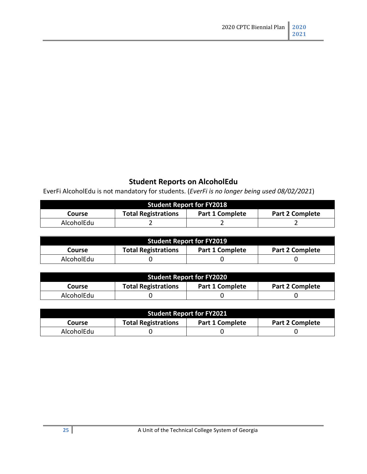# **Student Reports on AlcoholEdu**

<span id="page-24-0"></span>EverFi AlcoholEdu is not mandatory for students. (*EverFi is no longer being used 08/02/2021*)

| <b>Student Report for FY2018</b>                                                         |  |  |  |  |  |  |  |  |  |  |
|------------------------------------------------------------------------------------------|--|--|--|--|--|--|--|--|--|--|
| <b>Total Registrations</b><br><b>Part 1 Complete</b><br><b>Part 2 Complete</b><br>Course |  |  |  |  |  |  |  |  |  |  |
| AlcoholEdu                                                                               |  |  |  |  |  |  |  |  |  |  |

| <b>Student Report for FY2019</b> |                            |                        |                        |  |  |
|----------------------------------|----------------------------|------------------------|------------------------|--|--|
| Course                           | <b>Total Registrations</b> | <b>Part 1 Complete</b> | <b>Part 2 Complete</b> |  |  |
| AlcoholEdu                       |                            |                        |                        |  |  |

| <b>Student Report for FY2020</b> |                            |                        |                        |  |
|----------------------------------|----------------------------|------------------------|------------------------|--|
| Course                           | <b>Total Registrations</b> | <b>Part 1 Complete</b> | <b>Part 2 Complete</b> |  |
| AlcoholEdu                       |                            |                        |                        |  |

| <b>Student Report for FY2021</b>                                                  |  |  |  |  |
|-----------------------------------------------------------------------------------|--|--|--|--|
| <b>Part 2 Complete</b><br>Part 1 Complete<br><b>Total Registrations</b><br>Course |  |  |  |  |
| AlcoholEdu                                                                        |  |  |  |  |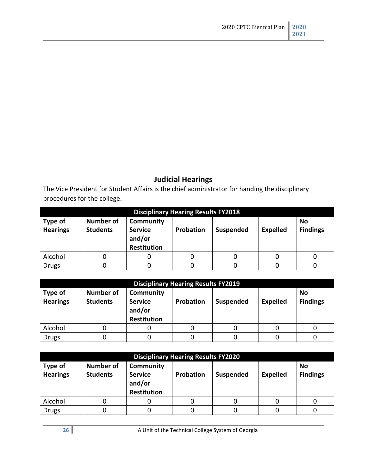# **Judicial Hearings**

<span id="page-25-0"></span>The Vice President for Student Affairs is the chief administrator for handing the disciplinary procedures for the college.

| <b>Disciplinary Hearing Results FY2018</b> |                                     |                                                             |                  |                  |                 |                              |
|--------------------------------------------|-------------------------------------|-------------------------------------------------------------|------------------|------------------|-----------------|------------------------------|
| Type of<br><b>Hearings</b>                 | <b>Number of</b><br><b>Students</b> | Community<br><b>Service</b><br>and/or<br><b>Restitution</b> | <b>Probation</b> | <b>Suspended</b> | <b>Expelled</b> | <b>No</b><br><b>Findings</b> |
| Alcohol                                    |                                     |                                                             |                  |                  |                 |                              |
| <b>Drugs</b>                               |                                     |                                                             |                  |                  |                 |                              |

| <b>Disciplinary Hearing Results FY2019</b> |                                     |                                                             |           |           |                 |                              |
|--------------------------------------------|-------------------------------------|-------------------------------------------------------------|-----------|-----------|-----------------|------------------------------|
| Type of<br><b>Hearings</b>                 | <b>Number of</b><br><b>Students</b> | <b>Community</b><br><b>Service</b><br>and/or<br>Restitution | Probation | Suspended | <b>Expelled</b> | <b>No</b><br><b>Findings</b> |
| Alcohol                                    |                                     |                                                             | 0         |           |                 |                              |
| <b>Drugs</b>                               |                                     |                                                             |           |           |                 |                              |

| <b>Disciplinary Hearing Results FY2020</b> |                              |                                                             |           |           |                 |                       |
|--------------------------------------------|------------------------------|-------------------------------------------------------------|-----------|-----------|-----------------|-----------------------|
| Type of<br><b>Hearings</b>                 | Number of<br><b>Students</b> | Community<br><b>Service</b><br>and/or<br><b>Restitution</b> | Probation | Suspended | <b>Expelled</b> | No<br><b>Findings</b> |
| Alcohol                                    | U                            |                                                             |           |           |                 |                       |
| <b>Drugs</b>                               |                              |                                                             |           |           |                 |                       |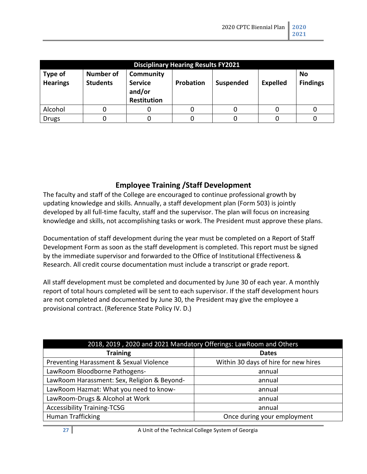| <b>Disciplinary Hearing Results FY2021</b> |                                     |                                                             |           |                  |                 |                       |
|--------------------------------------------|-------------------------------------|-------------------------------------------------------------|-----------|------------------|-----------------|-----------------------|
| Type of<br><b>Hearings</b>                 | <b>Number of</b><br><b>Students</b> | Community<br><b>Service</b><br>and/or<br><b>Restitution</b> | Probation | <b>Suspended</b> | <b>Expelled</b> | No<br><b>Findings</b> |
| Alcohol                                    |                                     |                                                             | 0         |                  |                 |                       |
| <b>Drugs</b>                               |                                     |                                                             |           |                  |                 |                       |

#### **Employee Training /Staff Development**

<span id="page-26-0"></span>The faculty and staff of the College are encouraged to continue professional growth by updating knowledge and skills. Annually, a staff development plan (Form 503) is jointly developed by all full-time faculty, staff and the supervisor. The plan will focus on increasing knowledge and skills, not accomplishing tasks or work. The President must approve these plans.

Documentation of staff development during the year must be completed on a Report of Staff Development Form as soon as the staff development is completed. This report must be signed by the immediate supervisor and forwarded to the Office of Institutional Effectiveness & Research. All credit course documentation must include a transcript or grade report.

All staff development must be completed and documented by June 30 of each year. A monthly report of total hours completed will be sent to each supervisor. If the staff development hours are not completed and documented by June 30, the President may give the employee a provisional contract. (Reference State Policy IV. D.)

| 2018, 2019, 2020 and 2021 Mandatory Offerings: LawRoom and Others |                                      |  |  |
|-------------------------------------------------------------------|--------------------------------------|--|--|
| <b>Training</b>                                                   | <b>Dates</b>                         |  |  |
| Preventing Harassment & Sexual Violence                           | Within 30 days of hire for new hires |  |  |
| LawRoom Bloodborne Pathogens-                                     | annual                               |  |  |
| LawRoom Harassment: Sex, Religion & Beyond-                       | annual                               |  |  |
| LawRoom Hazmat: What you need to know-                            | annual                               |  |  |
| LawRoom-Drugs & Alcohol at Work                                   | annual                               |  |  |
| <b>Accessibility Training-TCSG</b>                                | annual                               |  |  |
| Human Trafficking                                                 | Once during your employment          |  |  |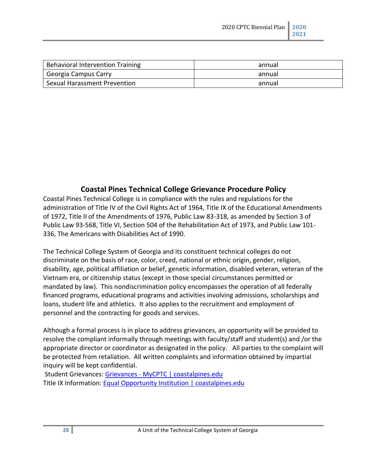| Behavioral Intervention Training | annual |
|----------------------------------|--------|
| Georgia Campus Carry             | annual |
| Sexual Harassment Prevention     | annual |

#### **Coastal Pines Technical College Grievance Procedure Policy**

<span id="page-27-0"></span>Coastal Pines Technical College is in compliance with the rules and regulations for the administration of Title IV of the Civil Rights Act of 1964, Title IX of the Educational Amendments of 1972, Title II of the Amendments of 1976, Public Law 83-318, as amended by Section 3 of Public Law 93-568, Title VI, Section 504 of the Rehabilitation Act of 1973, and Public Law 101- 336, The Americans with Disabilities Act of 1990.

The Technical College System of Georgia and its constituent technical colleges do not discriminate on the basis of race, color, creed, national or ethnic origin, gender, religion, disability, age, political affiliation or belief, genetic information, disabled veteran, veteran of the Vietnam era, or citizenship status (except in those special circumstances permitted or mandated by law). This nondiscrimination policy encompasses the operation of all federally financed programs, educational programs and activities involving admissions, scholarships and loans, student life and athletics. It also applies to the recruitment and employment of personnel and the contracting for goods and services.

Although a formal process is in place to address grievances, an opportunity will be provided to resolve the compliant informally through meetings with faculty/staff and student(s) and /or the appropriate director or coordinator as designated in the policy. All parties to the complaint will be protected from retaliation. All written complaints and information obtained by impartial inquiry will be kept confidential.

Student Grievances: Grievances - [MyCPTC | coastalpines.edu](http://www.coastalpines.edu/grievances/) Title IX Information: [Equal Opportunity Institution | coastalpines.edu](http://www.coastalpines.edu/equal-opportunity-institution/)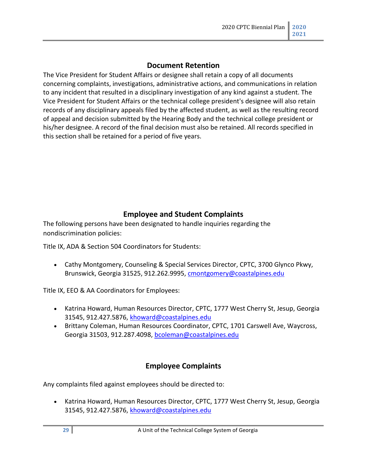#### **Document Retention**

<span id="page-28-0"></span>The Vice President for Student Affairs or designee shall retain a copy of all documents concerning complaints, investigations, administrative actions, and communications in relation to any incident that resulted in a disciplinary investigation of any kind against a student. The Vice President for Student Affairs or the technical college president's designee will also retain records of any disciplinary appeals filed by the affected student, as well as the resulting record of appeal and decision submitted by the Hearing Body and the technical college president or his/her designee. A record of the final decision must also be retained. All records specified in this section shall be retained for a period of five years.

#### **Employee and Student Complaints**

<span id="page-28-1"></span>The following persons have been designated to handle inquiries regarding the nondiscrimination policies:

Title IX, ADA & Section 504 Coordinators for Students:

• Cathy Montgomery, Counseling & Special Services Director, CPTC, 3700 Glynco Pkwy, Brunswick, Georgia 31525, 912.262.9995, [cmontgomery@coastalpines.edu](mailto:cmontgomery@coastalpines.edu)

Title IX, EEO & AA Coordinators for Employees:

- Katrina Howard, Human Resources Director, CPTC, 1777 West Cherry St, Jesup, Georgia 31545, 912.427.5876[, khoward@coastalpines.edu](mailto:khoward@coastalpines.edu)
- Brittany Coleman, Human Resources Coordinator, CPTC, 1701 Carswell Ave, Waycross, Georgia 31503, 912.287.4098[, bcoleman@coastalpines.edu](mailto:bcoleman@coastalpines.edu)

#### **Employee Complaints**

<span id="page-28-2"></span>Any complaints filed against employees should be directed to:

• Katrina Howard, Human Resources Director, CPTC, 1777 West Cherry St, Jesup, Georgia 31545, 912.427.5876[, khoward@coastalpines.edu](mailto:khoward@coastalpines.edu)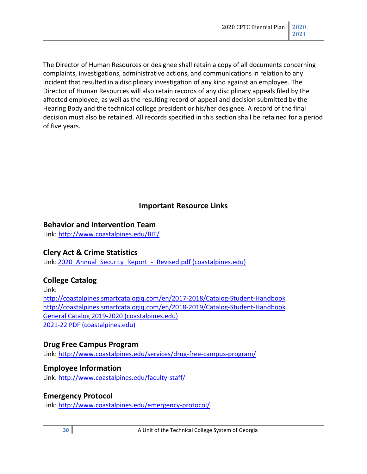The Director of Human Resources or designee shall retain a copy of all documents concerning complaints, investigations, administrative actions, and communications in relation to any incident that resulted in a disciplinary investigation of any kind against an employee. The Director of Human Resources will also retain records of any disciplinary appeals filed by the affected employee, as well as the resulting record of appeal and decision submitted by the Hearing Body and the technical college president or his/her designee. A record of the final decision must also be retained. All records specified in this section shall be retained for a period of five years.

#### **Important Resource Links**

#### <span id="page-29-1"></span><span id="page-29-0"></span>**Behavior and Intervention Team**

Link:<http://www.coastalpines.edu/BIT/>

#### <span id="page-29-2"></span>**Clery Act & Crime Statistics**

Link: 2020 Annual Security Report - Revised.pdf (coastalpines.edu)

#### <span id="page-29-3"></span>**College Catalog**

Link: <http://coastalpines.smartcatalogiq.com/en/2017-2018/Catalog-Student-Handbook> <http://coastalpines.smartcatalogiq.com/en/2018-2019/Catalog-Student-Handbook> [General Catalog 2019-2020 \(coastalpines.edu\)](http://www.coastalpines.edu/assets/1/7/2019-2020_Catalog-Student-Handbook.pdf) [2021-22 PDF \(coastalpines.edu\)](https://catalog.coastalpines.edu/sites/default/files/pdf/pdf_generator/202122-pdf.pdf?1624482576)

#### <span id="page-29-4"></span>**Drug Free Campus Program**

Link:<http://www.coastalpines.edu/services/drug-free-campus-program/>

#### <span id="page-29-5"></span>**Employee Information**

Link: <http://www.coastalpines.edu/faculty-staff/>

#### **Emergency Protocol**

Link:<http://www.coastalpines.edu/emergency-protocol/>